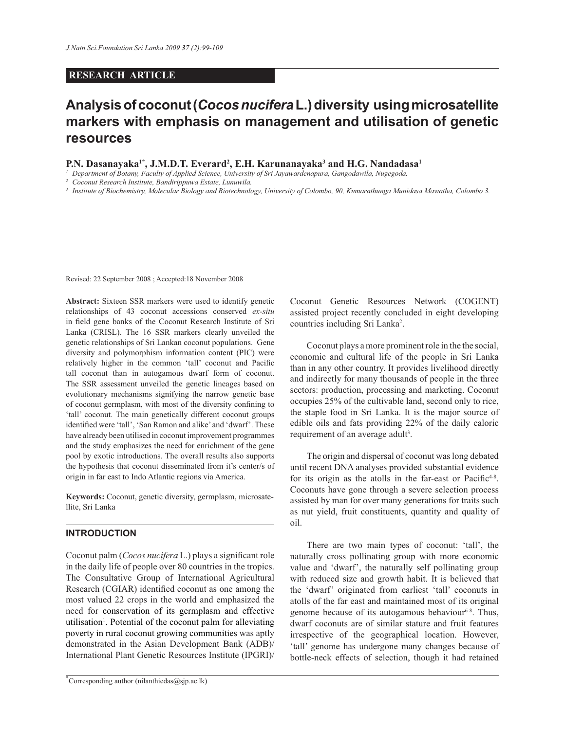### **RESEARCH ARTICLE**

# **Analysis of coconut (***Cocos nucifera* **L.) diversity using microsatellite markers with emphasis on management and utilisation of genetic resources**

**P.N. Dasanayaka1\*, J.M.D.T. Everard<sup>2</sup> , E.H. Karunanayaka<sup>3</sup> and H.G. Nandadasa<sup>1</sup>**

<sup>1</sup> Department of Botany, Faculty of Applied Science, University of Sri Jayawardenapura, Gangodawila, Nugegoda.

*2 Coconut Research Institute, Bandirippuwa Estate, Lunuwila.*

<sup>3</sup> Institute of Biochemistry, Molecular Biology and Biotechnology, University of Colombo, 90, Kumarathunga Munidasa Mawatha, Colombo 3.

Revised: 22 September 2008 ; Accepted:18 November 2008

**Abstract:** Sixteen SSR markers were used to identify genetic relationships of 43 coconut accessions conserved *ex-situ* in field gene banks of the Coconut Research Institute of Sri Lanka (CRISL). The 16 SSR markers clearly unveiled the genetic relationships of Sri Lankan coconut populations. Gene diversity and polymorphism information content (PIC) were relatively higher in the common 'tall' coconut and Pacific tall coconut than in autogamous dwarf form of coconut. The SSR assessment unveiled the genetic lineages based on evolutionary mechanisms signifying the narrow genetic base of coconut germplasm, with most of the diversity confining to 'tall' coconut. The main genetically different coconut groups identified were 'tall', 'San Ramon and alike' and 'dwarf'. These have already been utilised in coconut improvement programmes and the study emphasizes the need for enrichment of the gene pool by exotic introductions. The overall results also supports the hypothesis that coconut disseminated from it's center/s of origin in far east to Indo Atlantic regions via America.

**Keywords:** Coconut, genetic diversity, germplasm, microsatellite, Sri Lanka

### **INTRODUCTION**

Coconut palm (*Cocos nucifera* L.) plays a significant role in the daily life of people over 80 countries in the tropics. The Consultative Group of International Agricultural Research (CGIAR) identified coconut as one among the most valued 22 crops in the world and emphasized the need for conservation of its germplasm and effective utilisation<sup>1</sup>. Potential of the coconut palm for alleviating poverty in rural coconut growing communities was aptly demonstrated in the Asian Development Bank (ADB)/ International Plant Genetic Resources Institute (IPGRI)/

Coconut Genetic Resources Network (COGENT) assisted project recently concluded in eight developing countries including Sri Lanka<sup>2</sup>.

 Coconut plays a more prominent role in the the social, economic and cultural life of the people in Sri Lanka than in any other country. It provides livelihood directly and indirectly for many thousands of people in the three sectors: production, processing and marketing. Coconut occupies 25% of the cultivable land, second only to rice, the staple food in Sri Lanka. It is the major source of edible oils and fats providing 22% of the daily caloric requirement of an average adult<sup>3</sup>.

 The origin and dispersal of coconut was long debated until recent DNA analyses provided substantial evidence for its origin as the atolls in the far-east or Pacific $4-8$ . Coconuts have gone through a severe selection process assisted by man for over many generations for traits such as nut yield, fruit constituents, quantity and quality of oil.

 There are two main types of coconut: 'tall', the naturally cross pollinating group with more economic value and 'dwarf', the naturally self pollinating group with reduced size and growth habit. It is believed that the 'dwarf' originated from earliest 'tall' coconuts in atolls of the far east and maintained most of its original genome because of its autogamous behaviour $6-8$ . Thus, dwarf coconuts are of similar stature and fruit features irrespective of the geographical location. However, 'tall' genome has undergone many changes because of bottle-neck effects of selection, though it had retained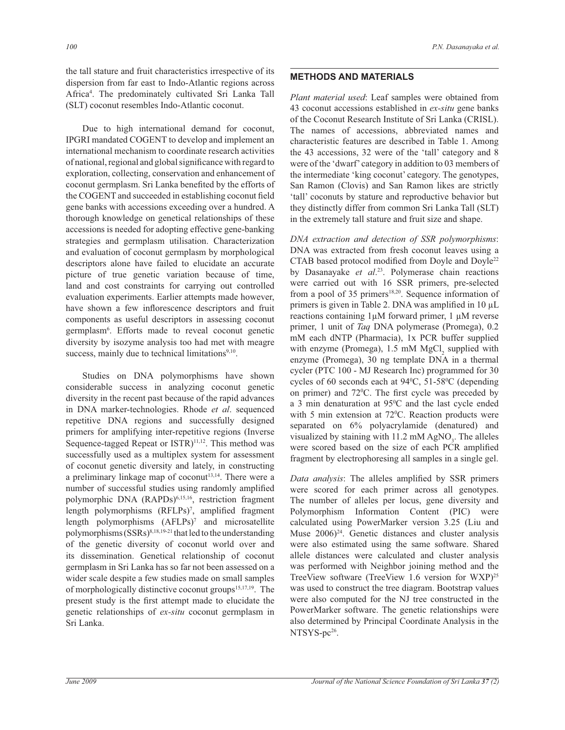the tall stature and fruit characteristics irrespective of its dispersion from far east to Indo-Atlantic regions across Africa<sup>4</sup> . The predominately cultivated Sri Lanka Tall (SLT) coconut resembles Indo-Atlantic coconut.

 Due to high international demand for coconut, IPGRI mandated COGENT to develop and implement an international mechanism to coordinate research activities of national, regional and global significance with regard to exploration, collecting, conservation and enhancement of coconut germplasm. Sri Lanka benefited by the efforts of the COGENT and succeeded in establishing coconut field gene banks with accessions exceeding over a hundred. A thorough knowledge on genetical relationships of these accessions is needed for adopting effective gene-banking strategies and germplasm utilisation. Characterization and evaluation of coconut germplasm by morphological descriptors alone have failed to elucidate an accurate picture of true genetic variation because of time, land and cost constraints for carrying out controlled evaluation experiments. Earlier attempts made however, have shown a few inflorescence descriptors and fruit components as useful descriptors in assessing coconut germplasm<sup>6</sup> . Efforts made to reveal coconut genetic diversity by isozyme analysis too had met with meagre success, mainly due to technical limitations<sup>9,10</sup>.

 Studies on DNA polymorphisms have shown considerable success in analyzing coconut genetic diversity in the recent past because of the rapid advances in DNA marker-technologies. Rhode *et al*. sequenced repetitive DNA regions and successfully designed primers for amplifying inter-repetitive regions (Inverse Sequence-tagged Repeat or ISTR)<sup>11,12</sup>. This method was successfully used as a multiplex system for assessment of coconut genetic diversity and lately, in constructing a preliminary linkage map of  $coconut<sup>13,14</sup>$ . There were a number of successful studies using randomly amplified polymorphic DNA (RAPDs)<sup>6,15,16</sup>, restriction fragment length polymorphisms (RFLPs)<sup>7</sup> , amplified fragment length polymorphisms (AFLPs)<sup>7</sup> and microsatellite polymorphisms (SSRs)8,18,19-21 that led to the understanding of the genetic diversity of coconut world over and its dissemination. Genetical relationship of coconut germplasm in Sri Lanka has so far not been assessed on a wider scale despite a few studies made on small samples of morphologically distinctive coconut groups<sup>15,17,19</sup>. The present study is the first attempt made to elucidate the genetic relationships of *ex-situ* coconut germplasm in Sri Lanka.

## **METHODS AND MATERIALS**

*Plant material used*: Leaf samples were obtained from 43 coconut accessions established in *ex-situ* gene banks of the Coconut Research Institute of Sri Lanka (CRISL). The names of accessions, abbreviated names and characteristic features are described in Table 1. Among the 43 accessions, 32 were of the 'tall' category and 8 were of the 'dwarf' category in addition to 03 members of the intermediate 'king coconut' category. The genotypes, San Ramon (Clovis) and San Ramon likes are strictly 'tall' coconuts by stature and reproductive behavior but they distinctly differ from common Sri Lanka Tall (SLT) in the extremely tall stature and fruit size and shape.

*DNA extraction and detection of SSR polymorphisms*: DNA was extracted from fresh coconut leaves using a CTAB based protocol modified from Doyle and Doyle<sup>22</sup> by Dasanayake *et al*. <sup>23</sup>. Polymerase chain reactions were carried out with 16 SSR primers, pre-selected from a pool of 35 primers<sup>18,20</sup>. Sequence information of primers is given in Table 2. DNA was amplified in 10 µL reactions containing 1µM forward primer, 1 µM reverse primer, 1 unit of *Taq* DNA polymerase (Promega), 0.2 mM each dNTP (Pharmacia), 1x PCR buffer supplied with enzyme (Promega),  $1.5 \text{ mM } MgCl_2$  supplied with enzyme (Promega), 30 ng template DNA in a thermal cycler (PTC 100 - MJ Research Inc) programmed for 30 cycles of 60 seconds each at  $94^{\circ}$ C, 51-58 $^{\circ}$ C (depending on primer) and  $72^{\circ}$ C. The first cycle was preceded by a 3 min denaturation at  $95^{\circ}$ C and the last cycle ended with 5 min extension at  $72^{\circ}$ C. Reaction products were separated on 6% polyacrylamide (denatured) and visualized by staining with 11.2 mM  $AgNO<sub>3</sub>$ . The alleles were scored based on the size of each PCR amplified fragment by electrophoresing all samples in a single gel.

*Data analysis*: The alleles amplified by SSR primers were scored for each primer across all genotypes. The number of alleles per locus, gene diversity and Polymorphism Information Content (PIC) were calculated using PowerMarker version 3.25 (Liu and Muse  $2006)^{24}$ . Genetic distances and cluster analysis were also estimated using the same software. Shared allele distances were calculated and cluster analysis was performed with Neighbor joining method and the TreeView software (TreeView 1.6 version for WXP)<sup>25</sup> was used to construct the tree diagram. Bootstrap values were also computed for the NJ tree constructed in the PowerMarker software. The genetic relationships were also determined by Principal Coordinate Analysis in the NTSYS-pc<sup>26</sup>.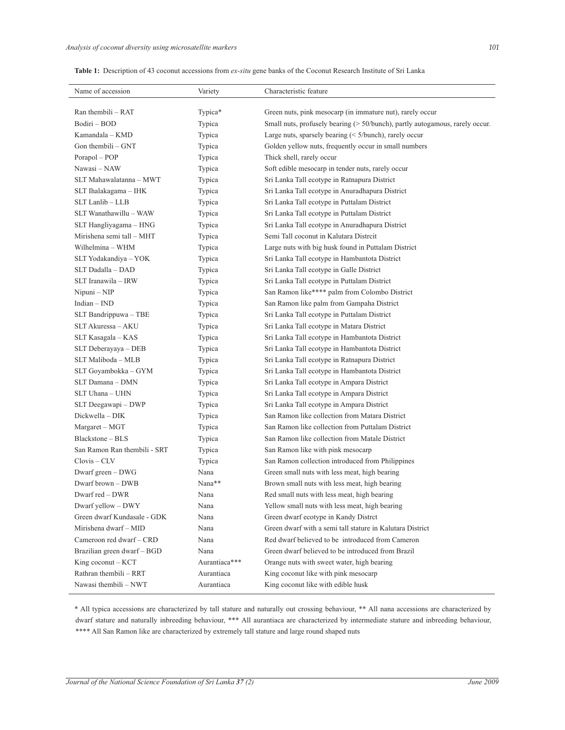| Table 1: Description of 43 coconut accessions from ex-situ gene banks of the Coconut Research Institute of Sri Lanka |  |
|----------------------------------------------------------------------------------------------------------------------|--|
|----------------------------------------------------------------------------------------------------------------------|--|

| Name of accession            | Variety       | Characteristic feature                                                       |
|------------------------------|---------------|------------------------------------------------------------------------------|
|                              |               |                                                                              |
| Ran thembili - RAT           | Typica*       | Green nuts, pink mesocarp (in immature nut), rarely occur                    |
| Bodiri - BOD                 | Typica        | Small nuts, profusely bearing (> 50/bunch), partly autogamous, rarely occur. |
| Kamandala – KMD              | Typica        | Large nuts, sparsely bearing $(5/bunch)$ , rarely occur                      |
| Gon thembili $-$ GNT         | Typica        | Golden yellow nuts, frequently occur in small numbers                        |
| Porapol - POP                | Typica        | Thick shell, rarely occur                                                    |
| Nawasi - NAW                 | Typica        | Soft edible mesocarp in tender nuts, rarely occur                            |
| SLT Mahawalatanna - MWT      | Typica        | Sri Lanka Tall ecotype in Ratnapura District                                 |
| SLT Ihalakagama - IHK        | Typica        | Sri Lanka Tall ecotype in Anuradhapura District                              |
| SLT Lanlib - LLB             | Typica        | Sri Lanka Tall ecotype in Puttalam District                                  |
| SLT Wanathawillu - WAW       | Typica        | Sri Lanka Tall ecotype in Puttalam District                                  |
| SLT Hangliyagama - HNG       | Typica        | Sri Lanka Tall ecotype in Anuradhapura District                              |
| Mirishena semi tall - MHT    | Typica        | Semi Tall coconut in Kalutara Distrcit                                       |
| Wilhelmina - WHM             | Typica        | Large nuts with big husk found in Puttalam District                          |
| SLT Yodakandiya - YOK        | Typica        | Sri Lanka Tall ecotype in Hambantota District                                |
| SLT Dadalla - DAD            | Typica        | Sri Lanka Tall ecotype in Galle District                                     |
| SLT Iranawila - IRW          | Typica        | Sri Lanka Tall ecotype in Puttalam District                                  |
| $Nipuni - NIP$               | Typica        | San Ramon like**** palm from Colombo District                                |
| $Indian - IND$               | Typica        | San Ramon like palm from Gampaha District                                    |
| SLT Bandrippuwa - TBE        | Typica        | Sri Lanka Tall ecotype in Puttalam District                                  |
| SLT Akuressa - AKU           | Typica        | Sri Lanka Tall ecotype in Matara District                                    |
| SLT Kasagala - KAS           | Typica        | Sri Lanka Tall ecotype in Hambantota District                                |
| SLT Deberayaya – DEB         | Typica        | Sri Lanka Tall ecotype in Hambantota District                                |
| SLT Maliboda - MLB           | Typica        | Sri Lanka Tall ecotype in Ratnapura District                                 |
| SLT Goyambokka - GYM         | Typica        | Sri Lanka Tall ecotype in Hambantota District                                |
| SLT Damana - DMN             | Typica        | Sri Lanka Tall ecotype in Ampara District                                    |
| SLT Uhana - UHN              | Typica        | Sri Lanka Tall ecotype in Ampara District                                    |
| SLT Deegawapi – DWP          | Typica        | Sri Lanka Tall ecotype in Ampara District                                    |
| Dickwella - DIK              | Typica        | San Ramon like collection from Matara District                               |
| Margaret – MGT               | Typica        | San Ramon like collection from Puttalam District                             |
| Blackstone - BLS             | Typica        | San Ramon like collection from Matale District                               |
| San Ramon Ran thembili - SRT | Typica        | San Ramon like with pink mesocarp                                            |
| $Clovis - CLV$               | Typica        | San Ramon collection introduced from Philippines                             |
| Dwarf green - DWG            | Nana          | Green small nuts with less meat, high bearing                                |
| Dwarf brown - DWB            | Nana**        | Brown small nuts with less meat, high bearing                                |
| Dwarf red - DWR              | Nana          | Red small nuts with less meat, high bearing                                  |
| Dwarf yellow - DWY           | Nana          | Yellow small nuts with less meat, high bearing                               |
| Green dwarf Kundasale - GDK  | Nana          | Green dwarf ecotype in Kandy Distrct                                         |
| Mirishena dwarf - MID        | Nana          | Green dwarf with a semi tall stature in Kalutara District                    |
| Cameroon red dwarf - CRD     | Nana          | Red dwarf believed to be introduced from Cameron                             |
| Brazilian green dwarf - BGD  | Nana          | Green dwarf believed to be introduced from Brazil                            |
| King coconut $-$ KCT         | Aurantiaca*** | Orange nuts with sweet water, high bearing                                   |
| Rathran thembili - RRT       | Aurantiaca    | King coconut like with pink mesocarp                                         |
| Nawasi thembili - NWT        | Aurantiaca    | King coconut like with edible husk                                           |

\* All typica accessions are characterized by tall stature and naturally out crossing behaviour, \*\* All nana accessions are characterized by dwarf stature and naturally inbreeding behaviour, \*\*\* All aurantiaca are characterized by intermediate stature and inbreeding behaviour, \*\*\*\* All San Ramon like are characterized by extremely tall stature and large round shaped nuts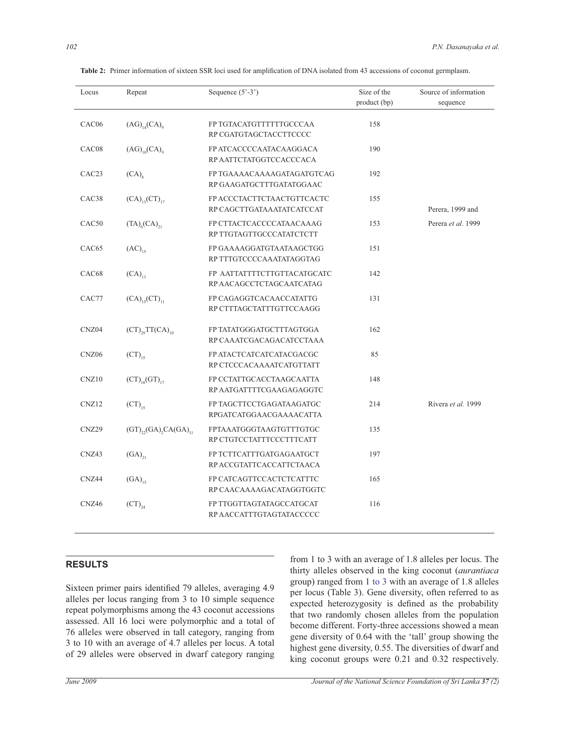| Locus             | Repeat                                        | Sequence $(5^{\circ}-3^{\circ})$                        | Size of the<br>product (bp) | Source of information<br>sequence |
|-------------------|-----------------------------------------------|---------------------------------------------------------|-----------------------------|-----------------------------------|
| CAC06             | $(AG)_{14}(CA)_{9}$                           | FP TGTACATGTTTTTTGCCCAA<br>RP CGATGTAGCTACCTTCCCC       | 158                         |                                   |
| CAC08             | $(AG)_{10}(CA)_{9}$                           | FP ATCACCCCAATACAAGGACA<br>RP AATTCTATGGTCCACCCACA      | 190                         |                                   |
| CAC <sub>23</sub> | (CA)                                          | FP TGAAAACAAAAGATAGATGTCAG<br>RP GAAGATGCTTTGATATGGAAC  | 192                         |                                   |
| CAC <sub>38</sub> | $(CA)_{13}(CT)_{17}$                          | FP ACCCTACTTCTAACTGTTCACTC<br>RP CAGCTTGATAAATATCATCCAT | 155                         | Perera, 1999 and                  |
| CAC <sub>50</sub> | $(TA)_{6}(CA)_{21}$                           | FP CTTACTCACCCCATAACAAAG<br>RP TTGTAGTTGCCCATATCTCTT    | 153                         | Perera et al. 1999                |
| CAC <sub>65</sub> | $(AC)_{15}$                                   | FP GAAAAGGATGTAATAAGCTGG<br>RP TTTGTCCCCAAATATAGGTAG    | 151                         |                                   |
| CAC68             | $(CA)_{13}$                                   | FP AATTATTTTCTTGTTACATGCATC<br>RP AACAGCCTCTAGCAATCATAG | 142                         |                                   |
| CAC77             | $(CA)_{15}(CT)_{11}$                          | FP CAGAGGTCACAACCATATTG<br>RP CTTTAGCTATTTGTTCCAAGG     | 131                         |                                   |
| CNZ04             | $(CT)_{29}TT(CA)_{10}$                        | FP TATATGGGATGCTTTAGTGGA<br>RP CAAATCGACAGACATCCTAAA    | 162                         |                                   |
| CNZ06             | $\mathrm{(CT)}_{15}$                          | FP ATACTCATCATCATACGACGC<br>RP CTCCCACAAAATCATGTTATT    | 85                          |                                   |
| CNZ10             | $(CT)_{18}(GT)_{17}$                          | FP CCTATTGCACCTAAGCAATTA<br>RP AATGATTTTCGAAGAGAGGTC    | 148                         |                                   |
| CNZ <sub>12</sub> | $\text{(CT)}_{15}$                            | FP TAGCTTCCTGAGATAAGATGC<br>RPGATCATGGAACGAAAACATTA     | 214                         | Rivera et al. 1999                |
| CNZ29             | $(GT)_{22}$ $(GA)$ <sub>2</sub> $CA(GA)_{11}$ | FPTAAATGGGTAAGTGTTTGTGC<br>RP CTGTCCTATTTCCCTTTCATT     | 135                         |                                   |
| CNZ43             | $(GA)_{21}$                                   | FP TCTTCATTTGATGAGAATGCT<br>RP ACCGTATTCACCATTCTAACA    | 197                         |                                   |
| CNZ44             | $(GA)_{15}$                                   | FP CATCAGTTCCACTCTCATTTC<br>RP CAACAAAAGACATAGGTGGTC    | 165                         |                                   |
| CNZ46             | $(CT)_{24}$                                   | FP TTGGTTAGTATAGCCATGCAT<br>RP AACCATTTGTAGTATACCCCC    | 116                         |                                   |

 **Table 2:** Primer information of sixteen SSR loci used for amplification of DNA isolated from 43 accessions of coconut germplasm.

## **RESULTS**

Sixteen primer pairs identified 79 alleles, averaging 4.9 alleles per locus ranging from 3 to 10 simple sequence repeat polymorphisms among the 43 coconut accessions assessed. All 16 loci were polymorphic and a total of 76 alleles were observed in tall category, ranging from 3 to 10 with an average of 4.7 alleles per locus. A total of 29 alleles were observed in dwarf category ranging

from 1 to 3 with an average of 1.8 alleles per locus. The thirty alleles observed in the king coconut (*aurantiaca* group) ranged from 1 to 3 with an average of 1.8 alleles per locus (Table 3). Gene diversity, often referred to as expected heterozygosity is defined as the probability that two randomly chosen alleles from the population become different. Forty-three accessions showed a mean gene diversity of 0.64 with the 'tall' group showing the highest gene diversity, 0.55. The diversities of dwarf and king coconut groups were 0.21 and 0.32 respectively.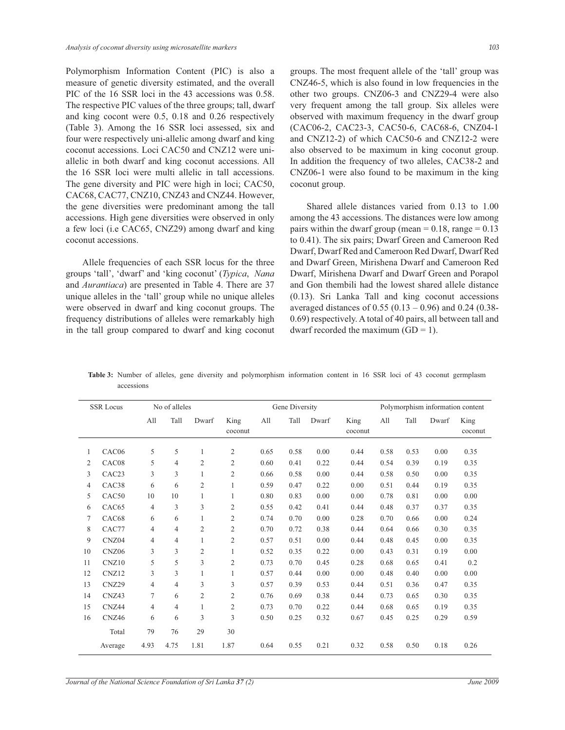Polymorphism Information Content (PIC) is also a measure of genetic diversity estimated, and the overall PIC of the 16 SSR loci in the 43 accessions was 0.58. The respective PIC values of the three groups; tall, dwarf and king cocont were 0.5, 0.18 and 0.26 respectively (Table 3). Among the 16 SSR loci assessed, six and four were respectively uni-allelic among dwarf and king coconut accessions. Loci CAC50 and CNZ12 were uniallelic in both dwarf and king coconut accessions. All the 16 SSR loci were multi allelic in tall accessions. The gene diversity and PIC were high in loci; CAC50, CAC68, CAC77, CNZ10, CNZ43 and CNZ44. However, the gene diversities were predominant among the tall accessions. High gene diversities were observed in only a few loci (i.e CAC65, CNZ29) among dwarf and king coconut accessions.

 Allele frequencies of each SSR locus for the three groups 'tall', 'dwarf' and 'king coconut' (*Typica*, *Nana* and *Aurantiaca*) are presented in Table 4. There are 37 unique alleles in the 'tall' group while no unique alleles were observed in dwarf and king coconut groups. The frequency distributions of alleles were remarkably high in the tall group compared to dwarf and king coconut groups. The most frequent allele of the 'tall' group was CNZ46-5, which is also found in low frequencies in the other two groups. CNZ06-3 and CNZ29-4 were also very frequent among the tall group. Six alleles were observed with maximum frequency in the dwarf group (CAC06-2, CAC23-3, CAC50-6, CAC68-6, CNZ04-1 and CNZ12-2) of which CAC50-6 and CNZ12-2 were also observed to be maximum in king coconut group. In addition the frequency of two alleles, CAC38-2 and CNZ06-1 were also found to be maximum in the king coconut group.

 Shared allele distances varied from 0.13 to 1.00 among the 43 accessions. The distances were low among pairs within the dwarf group (mean  $= 0.18$ , range  $= 0.13$ to 0.41). The six pairs; Dwarf Green and Cameroon Red Dwarf, Dwarf Red and Cameroon Red Dwarf, Dwarf Red and Dwarf Green, Mirishena Dwarf and Cameroon Red Dwarf, Mirishena Dwarf and Dwarf Green and Porapol and Gon thembili had the lowest shared allele distance (0.13). Sri Lanka Tall and king coconut accessions averaged distances of 0.55 (0.13 – 0.96) and 0.24 (0.38- 0.69) respectively. A total of 40 pairs, all between tall and dwarf recorded the maximum  $(GD = 1)$ .

|            |  |  | Table 3: Number of alleles, gene diversity and polymorphism information content in 16 SSR loci of 43 coconut germplasm |  |  |  |  |  |
|------------|--|--|------------------------------------------------------------------------------------------------------------------------|--|--|--|--|--|
| accessions |  |  |                                                                                                                        |  |  |  |  |  |

|    | <b>SSR Locus</b><br>No of alleles |                |                |                | Gene Diversity  |      |      |       |                 |      | Polymorphism information content |       |                 |  |
|----|-----------------------------------|----------------|----------------|----------------|-----------------|------|------|-------|-----------------|------|----------------------------------|-------|-----------------|--|
|    |                                   | A11            | Tall           | Dwarf          | King<br>coconut | All  | Tall | Dwarf | King<br>coconut | All  | Tall                             | Dwarf | King<br>coconut |  |
| 1  | CAC06                             | 5              | 5              | 1              | $\overline{2}$  | 0.65 | 0.58 | 0.00  | 0.44            | 0.58 | 0.53                             | 0.00  | 0.35            |  |
| 2  | CAC08                             | 5              | $\overline{4}$ | 2              | $\overline{2}$  | 0.60 | 0.41 | 0.22  | 0.44            | 0.54 | 0.39                             | 0.19  | 0.35            |  |
| 3  | CAC <sub>23</sub>                 | 3              | 3              | 1              | $\overline{c}$  | 0.66 | 0.58 | 0.00  | 0.44            | 0.58 | 0.50                             | 0.00  | 0.35            |  |
| 4  | CAC <sub>38</sub>                 | 6              | 6              | $\overline{c}$ | 1               | 0.59 | 0.47 | 0.22  | 0.00            | 0.51 | 0.44                             | 0.19  | 0.35            |  |
| 5  | CAC50                             | 10             | 10             | 1              | 1               | 0.80 | 0.83 | 0.00  | 0.00            | 0.78 | 0.81                             | 0.00  | 0.00            |  |
| 6  | CAC65                             | $\overline{4}$ | 3              | 3              | $\mathfrak{2}$  | 0.55 | 0.42 | 0.41  | 0.44            | 0.48 | 0.37                             | 0.37  | 0.35            |  |
| 7  | CAC68                             | 6              | 6              | 1              | $\mathfrak{2}$  | 0.74 | 0.70 | 0.00  | 0.28            | 0.70 | 0.66                             | 0.00  | 0.24            |  |
| 8  | CAC77                             | $\overline{4}$ | 4              | 2              | $\overline{c}$  | 0.70 | 0.72 | 0.38  | 0.44            | 0.64 | 0.66                             | 0.30  | 0.35            |  |
| 9  | CNZ04                             | $\overline{4}$ | $\overline{4}$ | 1              | $\overline{2}$  | 0.57 | 0.51 | 0.00  | 0.44            | 0.48 | 0.45                             | 0.00  | 0.35            |  |
| 10 | CNZ06                             | 3              | 3              | $\overline{c}$ | 1               | 0.52 | 0.35 | 0.22  | 0.00            | 0.43 | 0.31                             | 0.19  | 0.00            |  |
| 11 | CNZ10                             | 5              | 5              | 3              | $\overline{2}$  | 0.73 | 0.70 | 0.45  | 0.28            | 0.68 | 0.65                             | 0.41  | 0.2             |  |
| 12 | CNZ12                             | 3              | 3              |                | 1               | 0.57 | 0.44 | 0.00  | 0.00            | 0.48 | 0.40                             | 0.00  | 0.00            |  |
| 13 | CNZ29                             | $\overline{4}$ | $\overline{4}$ | 3              | 3               | 0.57 | 0.39 | 0.53  | 0.44            | 0.51 | 0.36                             | 0.47  | 0.35            |  |
| 14 | CNZ43                             | 7              | 6              | $\overline{c}$ | $\overline{2}$  | 0.76 | 0.69 | 0.38  | 0.44            | 0.73 | 0.65                             | 0.30  | 0.35            |  |
| 15 | CNZ44                             | $\overline{4}$ | 4              | 1              | $\overline{c}$  | 0.73 | 0.70 | 0.22  | 0.44            | 0.68 | 0.65                             | 0.19  | 0.35            |  |
| 16 | CNZ46                             | 6              | 6              | 3              | 3               | 0.50 | 0.25 | 0.32  | 0.67            | 0.45 | 0.25                             | 0.29  | 0.59            |  |
|    | Total                             | 79             | 76             | 29             | 30              |      |      |       |                 |      |                                  |       |                 |  |
|    | Average                           | 4.93           | 4.75           | 1.81           | 1.87            | 0.64 | 0.55 | 0.21  | 0.32            | 0.58 | 0.50                             | 0.18  | 0.26            |  |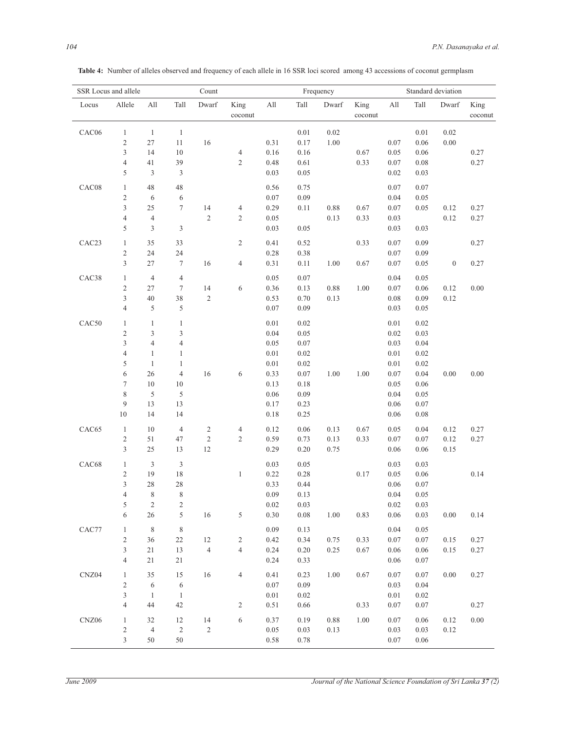| SSR Locus and allele |                          |                |                         | Count      |                 |          |          | Frequency |                 | Standard deviation          |          |                  |                 |  |
|----------------------|--------------------------|----------------|-------------------------|------------|-----------------|----------|----------|-----------|-----------------|-----------------------------|----------|------------------|-----------------|--|
| Locus                | Allele                   | All            | Tall                    | Dwarf      | King<br>coconut | All      | Tall     | Dwarf     | King<br>coconut | $\mathop{\rm All}\nolimits$ | Tall     | Dwarf            | King<br>coconut |  |
| CAC06                | $\mathbf{1}$             | $\mathbf{1}$   | $\mathbf{1}$            |            |                 |          | 0.01     | $0.02\,$  |                 |                             | 0.01     | 0.02             |                 |  |
|                      | $\mathfrak{2}$           | $27\,$         | 11                      | $16\,$     |                 | 0.31     | 0.17     | 1.00      |                 | 0.07                        | $0.06\,$ | 0.00             |                 |  |
|                      | $\mathfrak{Z}$           | 14             | 10                      |            | $\sqrt{4}$      | 0.16     | 0.16     |           | 0.67            | 0.05                        | $0.06\,$ |                  | 0.27            |  |
|                      | $\overline{4}$           | 41             | 39                      |            | $\sqrt{2}$      | 0.48     | 0.61     |           | 0.33            | 0.07                        | 0.08     |                  | 0.27            |  |
|                      | 5                        | $\mathfrak{Z}$ | 3                       |            |                 | 0.03     | 0.05     |           |                 | 0.02                        | 0.03     |                  |                 |  |
| CAC08                | $\mathbf{1}$             | 48             | 48                      |            |                 | 0.56     | 0.75     |           |                 | 0.07                        | 0.07     |                  |                 |  |
|                      | $\mathfrak{2}$           | 6              | 6                       |            |                 | $0.07\,$ | 0.09     |           |                 | 0.04                        | 0.05     |                  |                 |  |
|                      | $\overline{3}$           | 25             | $\tau$                  | 14         | $\sqrt{4}$      | 0.29     | 0.11     | 0.88      | 0.67            | 0.07                        | 0.05     | 0.12             | 0.27            |  |
|                      | $\overline{4}$           | $\overline{4}$ |                         | $\sqrt{2}$ | $\sqrt{2}$      | 0.05     |          | 0.13      | 0.33            | 0.03                        |          | 0.12             | 0.27            |  |
|                      | 5                        | $\mathfrak{Z}$ | 3                       |            |                 | 0.03     | 0.05     |           |                 | 0.03                        | 0.03     |                  |                 |  |
| CAC <sub>23</sub>    | $\mathbf{1}$             | 35             | 33                      |            | $\sqrt{2}$      | 0.41     | 0.52     |           | 0.33            | 0.07                        | 0.09     |                  | 0.27            |  |
|                      | $\mathfrak{2}$           | 24             | 24                      |            |                 | 0.28     | 0.38     |           |                 | 0.07                        | 0.09     |                  |                 |  |
|                      | $\mathfrak{Z}$           | 27             | $\boldsymbol{7}$        | 16         | $\overline{4}$  | 0.31     | $0.11\,$ | 1.00      | 0.67            | 0.07                        | 0.05     | $\boldsymbol{0}$ | 0.27            |  |
| CAC38                | 1                        | $\overline{4}$ | $\overline{4}$          |            |                 | 0.05     | 0.07     |           |                 | 0.04                        | 0.05     |                  |                 |  |
|                      | $\mathfrak{2}$           | 27             | $\tau$                  | 14         | $\sqrt{6}$      | 0.36     | 0.13     | 0.88      | 1.00            | 0.07                        | 0.06     | 0.12             | 0.00            |  |
|                      | 3                        | 40             | 38                      | $\sqrt{2}$ |                 | 0.53     | 0.70     | 0.13      |                 | 0.08                        | 0.09     | 0.12             |                 |  |
|                      | $\overline{4}$           | 5              | 5                       |            |                 | $0.07\,$ | 0.09     |           |                 | 0.03                        | 0.05     |                  |                 |  |
| CAC50                | $\mathbf{1}$             | $\mathbf{1}$   | $\mathbf{1}$            |            |                 | $0.01\,$ | 0.02     |           |                 | 0.01                        | 0.02     |                  |                 |  |
|                      | $\sqrt{2}$               | $\mathfrak{Z}$ | 3                       |            |                 | 0.04     | 0.05     |           |                 | 0.02                        | 0.03     |                  |                 |  |
|                      | 3                        | $\overline{4}$ | $\overline{4}$          |            |                 | 0.05     | $0.07\,$ |           |                 | 0.03                        | 0.04     |                  |                 |  |
|                      | $\overline{4}$           | $\mathbf{1}$   | $\mathbf{1}$            |            |                 | $0.01\,$ | 0.02     |           |                 | 0.01                        | 0.02     |                  |                 |  |
|                      | 5                        | $\mathbf{1}$   | $\mathbf{1}$            |            |                 | $0.01\,$ | 0.02     |           |                 | 0.01                        | 0.02     |                  |                 |  |
|                      | 6                        | 26             | $\overline{4}$          | 16         | 6               | 0.33     | 0.07     | 1.00      | 1.00            | 0.07                        | $0.04\,$ | 0.00             | 0.00            |  |
|                      | $\tau$                   | 10             | 10                      |            |                 | 0.13     | 0.18     |           |                 | 0.05                        | 0.06     |                  |                 |  |
|                      | $\,$ $\,$                | 5              | 5                       |            |                 | 0.06     | 0.09     |           |                 | 0.04                        | 0.05     |                  |                 |  |
|                      | 9                        | 13             | 13                      |            |                 | 0.17     | 0.23     |           |                 | 0.06                        | 0.07     |                  |                 |  |
|                      | 10                       | 14             | 14                      |            |                 | 0.18     | 0.25     |           |                 | 0.06                        | 0.08     |                  |                 |  |
| CAC65                | $\mathbf{1}$             | 10             | $\overline{4}$          | $\sqrt{2}$ | $\overline{4}$  | 0.12     | 0.06     | 0.13      | 0.67            | 0.05                        | 0.04     | 0.12             | 0.27            |  |
|                      | $\sqrt{2}$               | 51             | 47                      | $\sqrt{2}$ | $\sqrt{2}$      | 0.59     | 0.73     | 0.13      | 0.33            | 0.07                        | 0.07     | 0.12             | 0.27            |  |
|                      | 3                        | $25\,$         | 13                      | $12\,$     |                 | 0.29     | 0.20     | 0.75      |                 | 0.06                        | 0.06     | 0.15             |                 |  |
| CAC68                | $\mathbf{1}$             | $\mathfrak{Z}$ | $\mathfrak{Z}$          |            |                 | 0.03     | 0.05     |           |                 | 0.03                        | 0.03     |                  |                 |  |
|                      | $\mathfrak{2}$           | 19             | $18\,$                  |            | $\mathbf{1}$    | 0.22     | 0.28     |           | 0.17            | 0.05                        | 0.06     |                  | 0.14            |  |
|                      | 3                        | 28             | 28                      |            |                 | 0.33     | 0.44     |           |                 | 0.06                        | 0.07     |                  |                 |  |
|                      | $\overline{\mathcal{L}}$ | $\,$ 8 $\,$    | $\,$ $\,$               |            |                 | 0.09     | 0.13     |           |                 | 0.04                        | $0.05\,$ |                  |                 |  |
|                      | 5                        | $\overline{c}$ | $\overline{\mathbf{c}}$ |            |                 | 0.02     | 0.03     |           |                 | 0.02                        | 0.03     |                  |                 |  |
|                      | 6                        | 26             | 5                       | 16         | $\sqrt{5}$      | 0.30     | 0.08     | 1.00      | 0.83            | 0.06                        | 0.03     | 0.00             | 0.14            |  |
| CAC77                | $\mathbf{1}$             | 8              | $\,$ 8 $\,$             |            |                 | 0.09     | 0.13     |           |                 | 0.04                        | 0.05     |                  |                 |  |
|                      | $\mathfrak{2}$           | 36             | 22                      | 12         | $\sqrt{2}$      | 0.42     | 0.34     | 0.75      | 0.33            | 0.07                        | 0.07     | 0.15             | 0.27            |  |
|                      | $\mathfrak{Z}$           | 21             | 13                      | $\sqrt{4}$ | $\overline{4}$  | 0.24     | 0.20     | 0.25      | 0.67            | 0.06                        | 0.06     | 0.15             | 0.27            |  |
|                      | $\overline{4}$           | 21             | 21                      |            |                 | 0.24     | 0.33     |           |                 | 0.06                        | 0.07     |                  |                 |  |
| CNZ04                | $\mathbf{1}$             | 35             | 15                      | 16         | $\overline{4}$  | 0.41     | 0.23     | 1.00      | 0.67            | $0.07\,$                    | 0.07     | 0.00             | 0.27            |  |
|                      | $\mathfrak{2}$           | 6              | 6                       |            |                 | 0.07     | 0.09     |           |                 | 0.03                        | 0.04     |                  |                 |  |
|                      | $\mathfrak{Z}$           | $\mathbf{1}$   | $\mathbf{1}$            |            |                 | $0.01\,$ | $0.02\,$ |           |                 | $0.01\,$                    | 0.02     |                  |                 |  |
|                      | $\overline{4}$           | 44             | 42                      |            | $\sqrt{2}$      | 0.51     | 0.66     |           | 0.33            | 0.07                        | 0.07     |                  | 0.27            |  |
| CNZ06                | $\mathbf{1}$             | 32             | 12                      | 14         | $\sqrt{6}$      | 0.37     | 0.19     | 0.88      | 1.00            | 0.07                        | 0.06     | 0.12             | 0.00            |  |
|                      | $\overline{c}$           | $\overline{4}$ | $\sqrt{2}$              | $\sqrt{2}$ |                 | 0.05     | 0.03     | 0.13      |                 | 0.03                        | 0.03     | 0.12             |                 |  |
|                      | 3                        | 50             | 50                      |            |                 | 0.58     | 0.78     |           |                 | 0.07                        | 0.06     |                  |                 |  |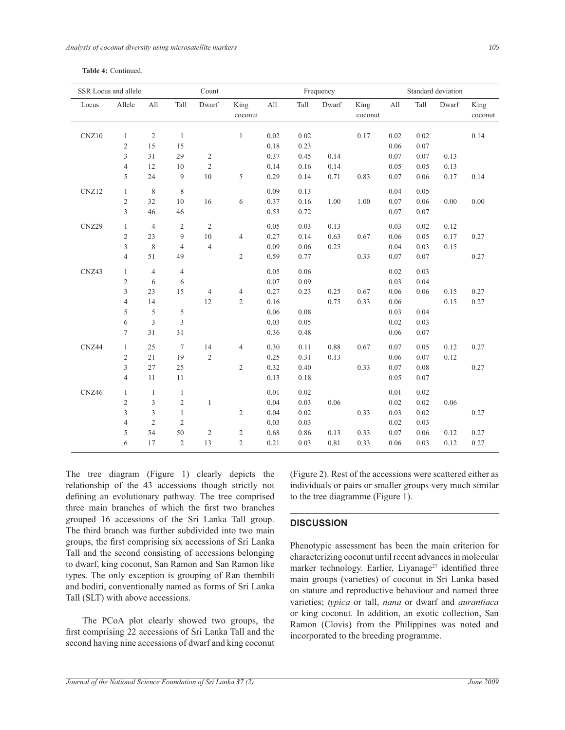|  | Table 4: Continued. |
|--|---------------------|
|--|---------------------|

| SSR Locus and allele |                |                |                  | Count                   |                         |          |      | Frequency |                 |      | Standard deviation |       |                 |  |  |
|----------------------|----------------|----------------|------------------|-------------------------|-------------------------|----------|------|-----------|-----------------|------|--------------------|-------|-----------------|--|--|
| Locus                | Allele         | All            | Tall             | Dwarf                   | King<br>coconut         | A11      | Tall | Dwarf     | King<br>coconut | All  | Tall               | Dwarf | King<br>coconut |  |  |
| CNZ10                | $\mathbf{1}$   | $\sqrt{2}$     | $\mathbf{1}$     |                         | $\mathbf{1}$            | 0.02     | 0.02 |           | 0.17            | 0.02 | 0.02               |       | 0.14            |  |  |
|                      | $\sqrt{2}$     | 15             | 15               |                         |                         | 0.18     | 0.23 |           |                 | 0.06 | 0.07               |       |                 |  |  |
|                      | $\mathfrak{Z}$ | 31             | 29               | $\sqrt{2}$              |                         | 0.37     | 0.45 | 0.14      |                 | 0.07 | 0.07               | 0.13  |                 |  |  |
|                      | $\overline{4}$ | 12             | $10\,$           | $\overline{c}$          |                         | 0.14     | 0.16 | 0.14      |                 | 0.05 | 0.05               | 0.13  |                 |  |  |
|                      | 5              | 24             | $\boldsymbol{9}$ | $10\,$                  | 5                       | 0.29     | 0.14 | 0.71      | 0.83            | 0.07 | 0.06               | 0.17  | 0.14            |  |  |
| CNZ12                | $\mathbf{1}$   | $\,$ 8 $\,$    | 8                |                         |                         | 0.09     | 0.13 |           |                 | 0.04 | 0.05               |       |                 |  |  |
|                      | $\sqrt{2}$     | 32             | 10               | 16                      | 6                       | 0.37     | 0.16 | 1.00      | 1.00            | 0.07 | 0.06               | 0.00  | 0.00            |  |  |
|                      | $\overline{3}$ | 46             | 46               |                         |                         | 0.53     | 0.72 |           |                 | 0.07 | 0.07               |       |                 |  |  |
| CNZ29                | $\mathbf{1}$   | $\overline{4}$ | $\sqrt{2}$       | $\overline{c}$          |                         | 0.05     | 0.03 | 0.13      |                 | 0.03 | 0.02               | 0.12  |                 |  |  |
|                      | $\overline{c}$ | 23             | 9                | $10\,$                  | $\overline{4}$          | 0.27     | 0.14 | 0.63      | 0.67            | 0.06 | 0.05               | 0.17  | 0.27            |  |  |
|                      | $\mathfrak{Z}$ | $\,$ 8 $\,$    | $\overline{4}$   | $\overline{4}$          |                         | 0.09     | 0.06 | 0.25      |                 | 0.04 | 0.03               | 0.15  |                 |  |  |
|                      | $\overline{4}$ | 51             | 49               |                         | $\overline{c}$          | 0.59     | 0.77 |           | 0.33            | 0.07 | 0.07               |       | 0.27            |  |  |
| CNZ43                | $\mathbf{1}$   | $\overline{4}$ | $\overline{4}$   |                         |                         | 0.05     | 0.06 |           |                 | 0.02 | 0.03               |       |                 |  |  |
|                      | $\mathfrak{2}$ | 6              | 6                |                         |                         | $0.07\,$ | 0.09 |           |                 | 0.03 | 0.04               |       |                 |  |  |
|                      | 3              | 23             | 15               | $\overline{4}$          | $\overline{4}$          | 0.27     | 0.23 | 0.25      | 0.67            | 0.06 | 0.06               | 0.15  | 0.27            |  |  |
|                      | $\overline{4}$ | 14             |                  | 12                      | $\overline{c}$          | 0.16     |      | 0.75      | 0.33            | 0.06 |                    | 0.15  | 0.27            |  |  |
|                      | 5              | 5              | $\sqrt{5}$       |                         |                         | 0.06     | 0.08 |           |                 | 0.03 | 0.04               |       |                 |  |  |
|                      | 6              | $\mathfrak{Z}$ | $\mathfrak{Z}$   |                         |                         | 0.03     | 0.05 |           |                 | 0.02 | 0.03               |       |                 |  |  |
|                      | $\tau$         | 31             | 31               |                         |                         | 0.36     | 0.48 |           |                 | 0.06 | 0.07               |       |                 |  |  |
| CNZ44                | $\mathbf{1}$   | 25             | $\tau$           | 14                      | $\overline{4}$          | 0.30     | 0.11 | 0.88      | 0.67            | 0.07 | 0.05               | 0.12  | 0.27            |  |  |
|                      | $\overline{2}$ | 21             | 19               | $\mathbf{2}$            |                         | 0.25     | 0.31 | 0.13      |                 | 0.06 | 0.07               | 0.12  |                 |  |  |
|                      | 3              | 27             | 25               |                         | $\sqrt{2}$              | 0.32     | 0.40 |           | 0.33            | 0.07 | 0.08               |       | 0.27            |  |  |
|                      | $\overline{4}$ | 11             | $11\,$           |                         |                         | 0.13     | 0.18 |           |                 | 0.05 | 0.07               |       |                 |  |  |
| CNZ46                | $\mathbf{1}$   | $\mathbf{1}$   | $\mathbf{1}$     |                         |                         | 0.01     | 0.02 |           |                 | 0.01 | 0.02               |       |                 |  |  |
|                      | $\overline{c}$ | $\mathfrak{Z}$ | $\sqrt{2}$       | $\mathbf{1}$            |                         | 0.04     | 0.03 | 0.06      |                 | 0.02 | 0.02               | 0.06  |                 |  |  |
|                      | 3              | 3              | $\mathbf{1}$     |                         | 2                       | 0.04     | 0.02 |           | 0.33            | 0.03 | 0.02               |       | 0.27            |  |  |
|                      | $\overline{4}$ | $\sqrt{2}$     | $\sqrt{2}$       |                         |                         | 0.03     | 0.03 |           |                 | 0.02 | 0.03               |       |                 |  |  |
|                      | $\mathfrak s$  | 54             | 50               | $\overline{\mathbf{c}}$ | $\overline{\mathbf{c}}$ | 0.68     | 0.86 | 0.13      | 0.33            | 0.07 | 0.06               | 0.12  | 0.27            |  |  |
|                      | 6              | 17             | $\overline{2}$   | 13                      | $\overline{c}$          | 0.21     | 0.03 | 0.81      | 0.33            | 0.06 | 0.03               | 0.12  | 0.27            |  |  |

The tree diagram (Figure 1) clearly depicts the relationship of the 43 accessions though strictly not defining an evolutionary pathway. The tree comprised three main branches of which the first two branches grouped 16 accessions of the Sri Lanka Tall group. The third branch was further subdivided into two main groups, the first comprising six accessions of Sri Lanka Tall and the second consisting of accessions belonging to dwarf, king coconut, San Ramon and San Ramon like types. The only exception is grouping of Ran thembili and bodiri, conventionally named as forms of Sri Lanka Tall (SLT) with above accessions.

 The PCoA plot clearly showed two groups, the first comprising 22 accessions of Sri Lanka Tall and the second having nine accessions of dwarf and king coconut

(Figure 2). Rest of the accessions were scattered either as individuals or pairs or smaller groups very much similar to the tree diagramme (Figure 1).

## **DISCUSSION**

Phenotypic assessment has been the main criterion for characterizing coconut until recent advances in molecular marker technology. Earlier, Liyanage<sup>27</sup> identified three main groups (varieties) of coconut in Sri Lanka based on stature and reproductive behaviour and named three varieties; *typica* or tall, *nana* or dwarf and *aurantiaca* or king coconut. In addition, an exotic collection, San Ramon (Clovis) from the Philippines was noted and incorporated to the breeding programme.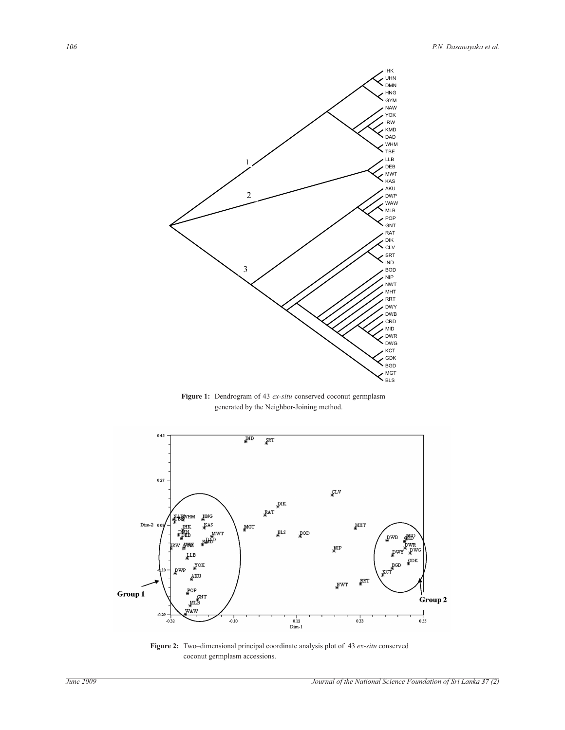

**Figure 1:** Dendrogram of 43 *ex-situ* conserved coconut germplasm generated by the Neighbor-Joining method.



**Figure 2:** Two–dimensional principal coordinate analysis plot of 43 *ex-situ* conserved coconut germplasm accessions.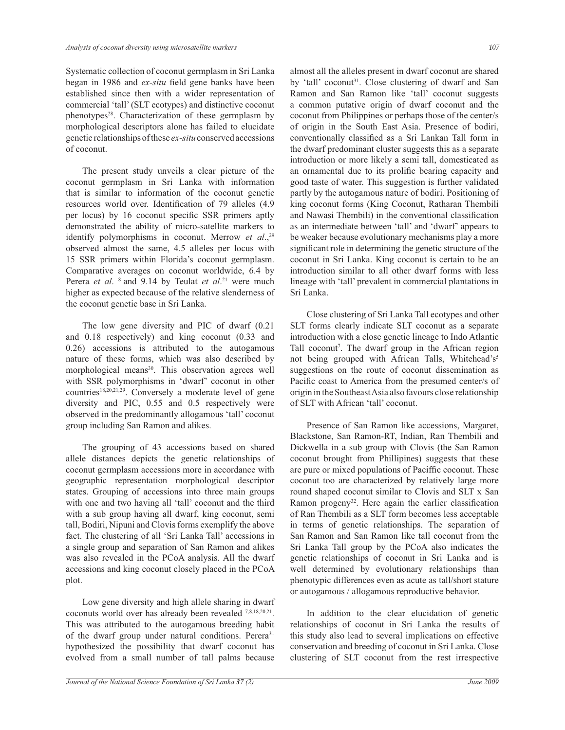Systematic collection of coconut germplasm in Sri Lanka began in 1986 and *ex-situ* field gene banks have been established since then with a wider representation of commercial 'tall' (SLT ecotypes) and distinctive coconut phenotypes<sup>28</sup>. Characterization of these germplasm by morphological descriptors alone has failed to elucidate genetic relationships of these *ex-situ* conserved accessions of coconut.

 The present study unveils a clear picture of the coconut germplasm in Sri Lanka with information that is similar to information of the coconut genetic resources world over. Identification of 79 alleles (4.9 per locus) by 16 coconut specific SSR primers aptly demonstrated the ability of micro-satellite markers to identify polymorphisms in coconut. Merrow *et al*., 29 observed almost the same, 4.5 alleles per locus with 15 SSR primers within Florida's coconut germplasm. Comparative averages on coconut worldwide, 6.4 by Perera *et al.* <sup>8</sup> and 9.14 by Teulat *et al*.<sup>21</sup> were much higher as expected because of the relative slenderness of the coconut genetic base in Sri Lanka.

 The low gene diversity and PIC of dwarf (0.21 and 0.18 respectively) and king coconut (0.33 and 0.26) accessions is attributed to the autogamous nature of these forms, which was also described by morphological means<sup>30</sup>. This observation agrees well with SSR polymorphisms in 'dwarf' coconut in other countries<sup>18,20,21,29</sup>. Conversely a moderate level of gene diversity and PIC, 0.55 and 0.5 respectively were observed in the predominantly allogamous 'tall' coconut group including San Ramon and alikes.

 The grouping of 43 accessions based on shared allele distances depicts the genetic relationships of coconut germplasm accessions more in accordance with geographic representation morphological descriptor states. Grouping of accessions into three main groups with one and two having all 'tall' coconut and the third with a sub group having all dwarf, king coconut, semi tall, Bodiri, Nipuni and Clovis forms exemplify the above fact. The clustering of all 'Sri Lanka Tall' accessions in a single group and separation of San Ramon and alikes was also revealed in the PCoA analysis. All the dwarf accessions and king coconut closely placed in the PCoA plot.

 Low gene diversity and high allele sharing in dwarf coconuts world over has already been revealed 7,8,18,20,21 . This was attributed to the autogamous breeding habit of the dwarf group under natural conditions. Perera<sup>31</sup> hypothesized the possibility that dwarf coconut has evolved from a small number of tall palms because

almost all the alleles present in dwarf coconut are shared by 'tall' coconut<sup>31</sup>. Close clustering of dwarf and San Ramon and San Ramon like 'tall' coconut suggests a common putative origin of dwarf coconut and the coconut from Philippines or perhaps those of the center/s of origin in the South East Asia. Presence of bodiri, conventionally classified as a Sri Lankan Tall form in the dwarf predominant cluster suggests this as a separate introduction or more likely a semi tall, domesticated as an ornamental due to its prolific bearing capacity and good taste of water. This suggestion is further validated partly by the autogamous nature of bodiri. Positioning of king coconut forms (King Coconut, Ratharan Thembili and Nawasi Thembili) in the conventional classification as an intermediate between 'tall' and 'dwarf' appears to be weaker because evolutionary mechanisms play a more significant role in determining the genetic structure of the coconut in Sri Lanka. King coconut is certain to be an introduction similar to all other dwarf forms with less lineage with 'tall' prevalent in commercial plantations in Sri Lanka.

 Close clustering of Sri Lanka Tall ecotypes and other SLT forms clearly indicate SLT coconut as a separate introduction with a close genetic lineage to Indo Atlantic Tall coconut<sup>7</sup>. The dwarf group in the African region not being grouped with African Talls, Whitehead's<sup>5</sup> suggestions on the route of coconut dissemination as Pacific coast to America from the presumed center/s of origin in the Southeast Asia also favours close relationship of SLT with African 'tall' coconut.

 Presence of San Ramon like accessions, Margaret, Blackstone, San Ramon-RT, Indian, Ran Thembili and Dickwella in a sub group with Clovis (the San Ramon coconut brought from Phillipines) suggests that these are pure or mixed populations of Paciffic coconut. These coconut too are characterized by relatively large more round shaped coconut similar to Clovis and SLT x San Ramon progeny<sup>32</sup>. Here again the earlier classification of Ran Thembili as a SLT form becomes less acceptable in terms of genetic relationships. The separation of San Ramon and San Ramon like tall coconut from the Sri Lanka Tall group by the PCoA also indicates the genetic relationships of coconut in Sri Lanka and is well determined by evolutionary relationships than phenotypic differences even as acute as tall/short stature or autogamous / allogamous reproductive behavior.

 In addition to the clear elucidation of genetic relationships of coconut in Sri Lanka the results of this study also lead to several implications on effective conservation and breeding of coconut in Sri Lanka. Close clustering of SLT coconut from the rest irrespective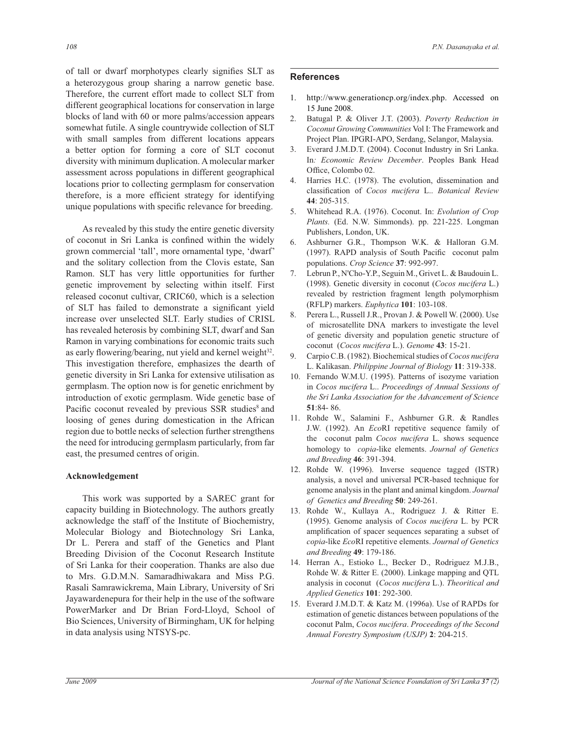of tall or dwarf morphotypes clearly signifies SLT as a heterozygous group sharing a narrow genetic base. Therefore, the current effort made to collect SLT from different geographical locations for conservation in large blocks of land with 60 or more palms/accession appears somewhat futile. A single countrywide collection of SLT with small samples from different locations appears a better option for forming a core of SLT coconut diversity with minimum duplication. A molecular marker assessment across populations in different geographical locations prior to collecting germplasm for conservation therefore, is a more efficient strategy for identifying unique populations with specific relevance for breeding.

 As revealed by this study the entire genetic diversity of coconut in Sri Lanka is confined within the widely grown commercial 'tall', more ornamental type, 'dwarf' and the solitary collection from the Clovis estate, San Ramon. SLT has very little opportunities for further genetic improvement by selecting within itself. First released coconut cultivar, CRIC60, which is a selection of SLT has failed to demonstrate a significant yield increase over unselected SLT. Early studies of CRISL has revealed heterosis by combining SLT, dwarf and San Ramon in varying combinations for economic traits such as early flowering/bearing, nut yield and kernel weight<sup>32</sup>. This investigation therefore, emphasizes the dearth of genetic diversity in Sri Lanka for extensive utilisation as germplasm. The option now is for genetic enrichment by introduction of exotic germplasm. Wide genetic base of Pacific coconut revealed by previous SSR studies<sup>8</sup> and loosing of genes during domestication in the African region due to bottle necks of selection further strengthens the need for introducing germplasm particularly, from far east, the presumed centres of origin.

#### **Acknowledgement**

 This work was supported by a SAREC grant for capacity building in Biotechnology. The authors greatly acknowledge the staff of the Institute of Biochemistry, Molecular Biology and Biotechnology Sri Lanka, Dr L. Perera and staff of the Genetics and Plant Breeding Division of the Coconut Research Institute of Sri Lanka for their cooperation. Thanks are also due to Mrs. G.D.M.N. Samaradhiwakara and Miss P.G. Rasali Samrawickrema, Main Library, University of Sri Jayawardenepura for their help in the use of the software PowerMarker and Dr Brian Ford-Lloyd, School of Bio Sciences, University of Birmingham, UK for helping in data analysis using NTSYS-pc.

## **References**

- 1. http://www.generationcp.org/index.php. Accessed on 15 June 2008.
- 2. Batugal P. & Oliver J.T. (2003). *Poverty Reduction in Coconut Growing Communities* Vol I: The Framework and Project Plan. IPGRI-APO, Serdang, Selangor, Malaysia.
- 3. Everard J.M.D.T. (2004). Coconut Industry in Sri Lanka. In*: Economic Review December*. Peoples Bank Head Office, Colombo 02.
- 4. Harries H.C. (1978). The evolution, dissemination and classification of *Cocos nucifera* L.. *Botanical Review* **44**: 205-315.
- 5. Whitehead R.A. (1976). Coconut. In: *Evolution of Crop Plants.* (Ed. N.W. Simmonds). pp. 221-225. Longman Publishers, London, UK.
- 6. Ashburner G.R., Thompson W.K. & Halloran G.M. (1997). RAPD analysis of South Pacific coconut palm populations. *Crop Science* **37**: 992-997.
- 7. Lebrun P., N'Cho-Y.P., Seguin M., Grivet L. & Baudouin L. (1998). Genetic diversity in coconut (*Cocos nucifera* L.) revealed by restriction fragment length polymorphism (RFLP) markers. *Euphytica* **101**: 103-108.
- 8. Perera L., Russell J.R., Provan J. & Powell W. (2000). Use of microsatellite DNA markers to investigate the level of genetic diversity and population genetic structure of coconut (*Cocos nucifera* L.). *Genome* **43**: 15-21.
- 9. Carpio C.B. (1982). Biochemical studies of *Cocos nucifera* L. Kalikasan. *Philippine Journal of Biology* **11**: 319-338.
- 10. Fernando W.M.U. (1995). Patterns of isozyme variation in *Cocos nucifera* L.. *Proceedings of Annual Sessions of the Sri Lanka Association for the Advancement of Science*  **51**:84- 86.
- 11. Rohde W., Salamini F., Ashburner G.R. & Randles J.W. (1992). An *Eco*RI repetitive sequence family of the coconut palm *Cocos nucifera* L. shows sequence homology to *copia*-like elements. *Journal of Genetics and Breeding* **46**: 391-394.
- 12. Rohde W. (1996). Inverse sequence tagged (ISTR) analysis, a novel and universal PCR-based technique for genome analysis in the plant and animal kingdom. *Journal of Genetics and Breeding* **50**: 249-261.
- 13. Rohde W., Kullaya A., Rodriguez J. & Ritter E. (1995). Genome analysis of *Cocos nucifera* L. by PCR amplification of spacer sequences separating a subset of *copia*-like *Eco*RI repetitive elements. *Journal of Genetics and Breeding* **49**: 179-186.
- 14. Herran A., Estioko L., Becker D., Rodriguez M.J.B., Rohde W. & Ritter E. (2000). Linkage mapping and QTL analysis in coconut (*Cocos nucifera* L.). *Theoritical and Applied Genetics* **101**: 292-300.
- 15. Everard J.M.D.T. & Katz M. (1996a). Use of RAPDs for estimation of genetic distances between populations of the coconut Palm, *Cocos nucifera*. *Proceedings of the Second Annual Forestry Symposium (USJP)* **2**: 204-215.